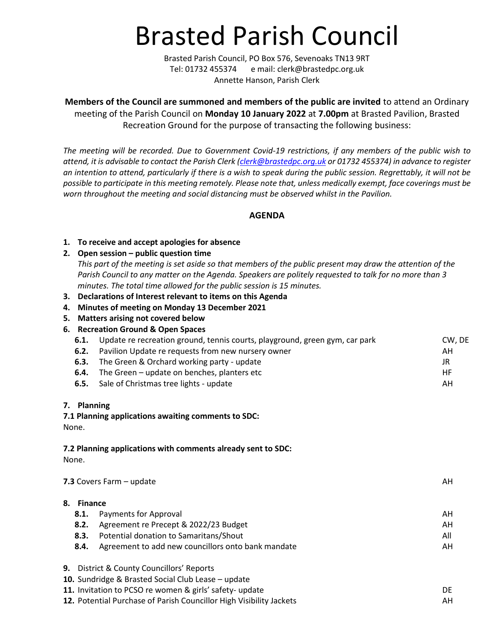# Brasted Parish Council

Brasted Parish Council, PO Box 576, Sevenoaks TN13 9RT Tel: 01732 455374 e mail: clerk@brastedpc.org.uk Annette Hanson, Parish Clerk

**Members of the Council are summoned and members of the public are invited** to attend an Ordinary meeting of the Parish Council on **Monday 10 January 2022** at **7.00pm** at Brasted Pavilion, Brasted Recreation Ground for the purpose of transacting the following business:

*The meeting will be recorded. Due to Government Covid-19 restrictions, if any members of the public wish to attend, it is advisable to contact the Parish Clerk [\(clerk@brastedpc.org.uk](mailto:clerk@brastedpc.org.uk) or 01732 455374) in advance to register an intention to attend, particularly if there is a wish to speak during the public session. Regrettably, it will not be possible to participate in this meeting remotely. Please note that, unless medically exempt, face coverings must be worn throughout the meeting and social distancing must be observed whilst in the Pavilion.*

**AGENDA**

## **1. To receive and accept apologies for absence**

## **2. Open session – public question time**

*This part of the meeting is set aside so that members of the public present may draw the attention of the Parish Council to any matter on the Agenda. Speakers are politely requested to talk for no more than 3 minutes. The total time allowed for the public session is 15 minutes.*

- **3. Declarations of Interest relevant to items on this Agenda**
- **4. Minutes of meeting on Monday 13 December 2021**
- **5. Matters arising not covered below**
- **6. Recreation Ground & Open Spaces**

| 6.1. | Update re recreation ground, tennis courts, playground, green gym, car park | CW, DE |
|------|-----------------------------------------------------------------------------|--------|
| 6.2. | Pavilion Update re requests from new nursery owner                          | ΑH     |
| 6.3. | The Green & Orchard working party - update                                  | JR     |
| 6.4. | The Green – update on benches, planters etc                                 | HF     |
|      | <b>6.5.</b> Sale of Christmas tree lights - update                          | AH     |
|      |                                                                             |        |

## **7. Planning**

## **7.1 Planning applications awaiting comments to SDC:**

None.

## **7.2 Planning applications with comments already sent to SDC:**

None.

|    | 7.3 Covers Farm - update<br>AH                       |                                                    |     |  |  |
|----|------------------------------------------------------|----------------------------------------------------|-----|--|--|
| 8. | <b>Finance</b>                                       |                                                    |     |  |  |
|    | 8.1.                                                 | Payments for Approval                              | AH  |  |  |
|    | 8.2.                                                 | Agreement re Precept & 2022/23 Budget              | AH  |  |  |
|    | 8.3.                                                 | Potential donation to Samaritans/Shout             | All |  |  |
|    | 8.4.                                                 | Agreement to add new councillors onto bank mandate | AH  |  |  |
|    |                                                      | <b>9.</b> District & County Councillors' Reports   |     |  |  |
|    | 10. Sundridge & Brasted Social Club Lease - update   |                                                    |     |  |  |
|    | 11 Invitation to DCCO rowsman 8 girls' cafety undate | nE.                                                |     |  |  |

**11.** Invitation to PCSO re women & girls' safety- update  $DE$ **12.** Potential Purchase of Parish Councillor High Visibility Jackets **AH**